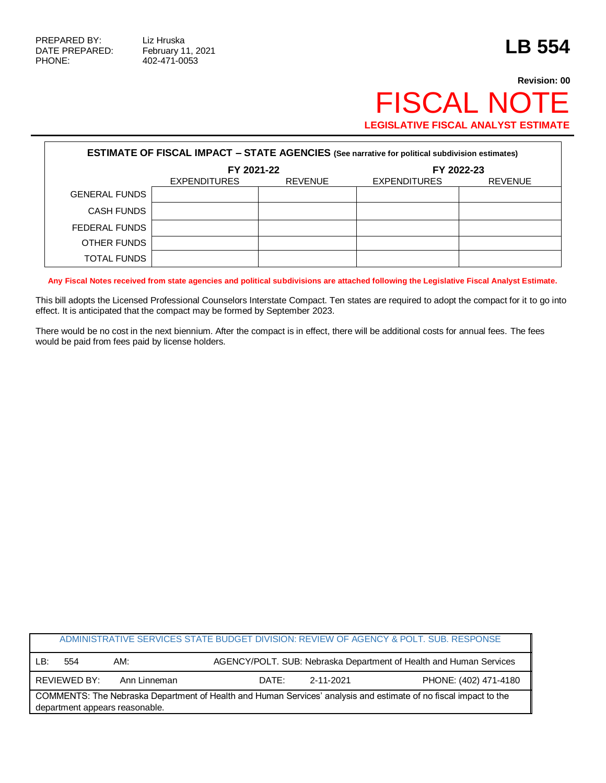PHONE: 402-471-0053

## **Revision: 00** FISCAL NOTE **LEGISLATIVE FISCAL ANALYST ESTIMATE**

| <b>ESTIMATE OF FISCAL IMPACT - STATE AGENCIES (See narrative for political subdivision estimates)</b> |                     |                |                     |                |  |
|-------------------------------------------------------------------------------------------------------|---------------------|----------------|---------------------|----------------|--|
|                                                                                                       | FY 2021-22          |                | FY 2022-23          |                |  |
|                                                                                                       | <b>EXPENDITURES</b> | <b>REVENUE</b> | <b>EXPENDITURES</b> | <b>REVENUE</b> |  |
| <b>GENERAL FUNDS</b>                                                                                  |                     |                |                     |                |  |
| <b>CASH FUNDS</b>                                                                                     |                     |                |                     |                |  |
| FEDERAL FUNDS                                                                                         |                     |                |                     |                |  |
| OTHER FUNDS                                                                                           |                     |                |                     |                |  |
| TOTAL FUNDS                                                                                           |                     |                |                     |                |  |

**Any Fiscal Notes received from state agencies and political subdivisions are attached following the Legislative Fiscal Analyst Estimate.**

This bill adopts the Licensed Professional Counselors Interstate Compact. Ten states are required to adopt the compact for it to go into effect. It is anticipated that the compact may be formed by September 2023.

There would be no cost in the next biennium. After the compact is in effect, there will be additional costs for annual fees. The fees would be paid from fees paid by license holders.

| ADMINISTRATIVE SERVICES STATE BUDGET DIVISION: REVIEW OF AGENCY & POLT. SUB. RESPONSE                                                              |              |              |       |           |                                                                    |
|----------------------------------------------------------------------------------------------------------------------------------------------------|--------------|--------------|-------|-----------|--------------------------------------------------------------------|
| LB:                                                                                                                                                | 554          | AM:          |       |           | AGENCY/POLT. SUB: Nebraska Department of Health and Human Services |
|                                                                                                                                                    | REVIEWED BY: | Ann Linneman | DATE: | 2-11-2021 | PHONE: (402) 471-4180                                              |
| COMMENTS: The Nebraska Department of Health and Human Services' analysis and estimate of no fiscal impact to the<br>department appears reasonable. |              |              |       |           |                                                                    |